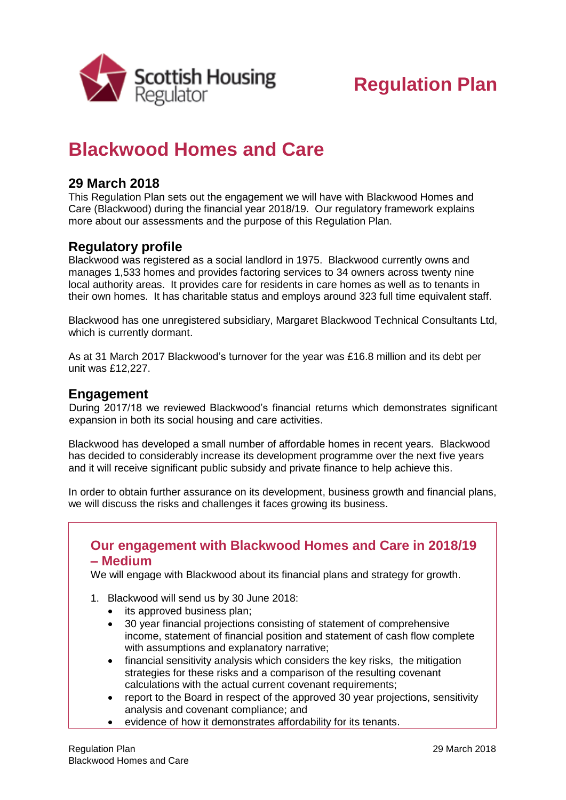

# **Regulation Plan**

## **Blackwood Homes and Care**

### **29 March 2018**

This Regulation Plan sets out the engagement we will have with Blackwood Homes and Care (Blackwood) during the financial year 2018/19. Our regulatory framework explains more about our assessments and the purpose of this Regulation Plan.

#### **Regulatory profile**

Blackwood was registered as a social landlord in 1975. Blackwood currently owns and manages 1,533 homes and provides factoring services to 34 owners across twenty nine local authority areas. It provides care for residents in care homes as well as to tenants in their own homes. It has charitable status and employs around 323 full time equivalent staff.

Blackwood has one unregistered subsidiary, Margaret Blackwood Technical Consultants Ltd, which is currently dormant.

As at 31 March 2017 Blackwood's turnover for the year was £16.8 million and its debt per unit was £12,227.

#### **Engagement**

During 2017/18 we reviewed Blackwood's financial returns which demonstrates significant expansion in both its social housing and care activities.

Blackwood has developed a small number of affordable homes in recent years. Blackwood has decided to considerably increase its development programme over the next five years and it will receive significant public subsidy and private finance to help achieve this.

In order to obtain further assurance on its development, business growth and financial plans, we will discuss the risks and challenges it faces growing its business.

#### **Our engagement with Blackwood Homes and Care in 2018/19 – Medium**

We will engage with Blackwood about its financial plans and strategy for growth.

- 1. Blackwood will send us by 30 June 2018:
	- its approved business plan;
	- 30 year financial projections consisting of statement of comprehensive income, statement of financial position and statement of cash flow complete with assumptions and explanatory narrative;
	- financial sensitivity analysis which considers the key risks, the mitigation strategies for these risks and a comparison of the resulting covenant calculations with the actual current covenant requirements;
	- report to the Board in respect of the approved 30 year projections, sensitivity analysis and covenant compliance; and
	- evidence of how it demonstrates affordability for its tenants.